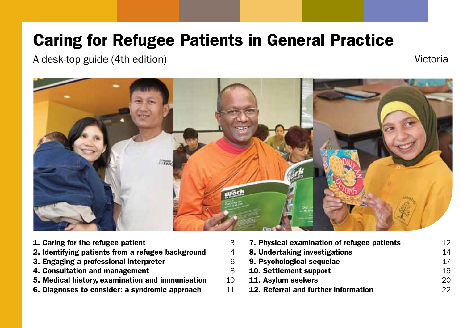# Caring for Refugee Patients in General Practice

A desk-top guide (4th edition) and a set of the set of the victorial victorial victorial victorial victorial v



- [1. Caring for the refugee patient](#page-2-0)
- 2. Identifying patients from a refugee background
- [3. Engaging a professional interpreter](#page-5-0) 6
- [4. Consultation and management](#page-7-0)
- [5. Medical history, examination and immunisation](#page-9-0)
- [6. Diagnoses to consider: a syndromic approach](#page-10-0)

| 3  | 7. Physical examination of refugee patients | 12. |
|----|---------------------------------------------|-----|
| 4  | 8. Undertaking investigations               | 14  |
| 6  | 9. Psychological sequelae                   | 17  |
| 8  | 10. Settlement support                      | 19  |
| 10 | 11. Asylum seekers                          | 20  |
| 11 | 12. Referral and further information        | つつ  |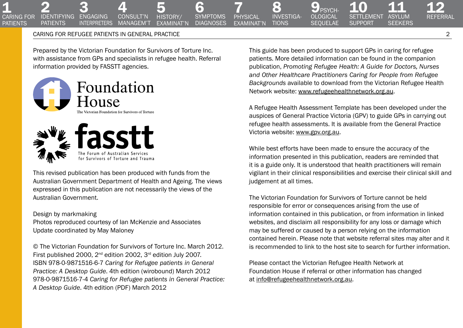7 physical [examinat'n](#page-11-0) **SYMPTOMS DIAGNOSES** 5<br>HISTORY/ [examinat'n](#page-9-0)

[6](#page-10-0) 

### Caring for refugee patients in General Practice 2

Prepared by the Victorian Foundation for Survivors of Torture Inc. with assistance from GPs and specialists in refugee health. Referral information provided by FASSTT agencies.

[4](#page-7-0)  consult'n **MANAGEM'T** 





This revised publication has been produced with funds from the Australian Government Department of Health and Ageing. The views expressed in this publication are not necessarily the views of the Australian Government.

#### Design by markmaking

Photos reproduced courtesy of Ian McKenzie and Associates Update coordinated by May Maloney

© The Victorian Foundation for Survivors of Torture Inc. March 2012. First published 2000, 2<sup>nd</sup> edition 2002, 3<sup>rd</sup> edition July 2007. ISBN 978-0-9871516-6-7 *Caring for Refugee patients in General Practice: A Desktop Guide*. 4th edition (wirobound) March 2012 978-0-9871516-7-4 *Caring for Refugee patients in General Practice: A Desktop Guide*. 4th edition (PDF) March 2012

This guide has been produced to support GPs in caring for refugee patients. More detailed information can be found in the companion publication, *Promoting Refugee Health: A Guide for Doctors, Nurses and Other Healthcare Practitioners Caring for People from Refugee Backgrounds* available to download from the Victorian Refugee Health Network website: [www.refugeehealthnetwork.org.au.](www.refugeehealthnetwork.org.au)

9 PSYCH-<br>OLOGICAL **SEQUELAE** 

8 [investiga-](#page-13-0)**TIONS** 

10<br>SETTLEMENT **SUPPORT** 

A Refugee Health Assessment Template has been developed under the auspices of General Practice Victoria (GPV) to guide GPs in carrying out refugee health assessments. It is available from the General Practice Victoria website: <www.gpv.org.au>.

While best efforts have been made to ensure the accuracy of the information presented in this publication, readers are reminded that it is a guide only. It is understood that health practitioners will remain vigilant in their clinical responsibilities and exercise their clinical skill and judgement at all times.

The Victorian Foundation for Survivors of Torture cannot be held responsible for error or consequences arising from the use of information contained in this publication, or from information in linked websites, and disclaim all responsibility for any loss or damage which may be suffered or caused by a person relying on the information contained herein. Please note that website referral sites may alter and it is recommended to link to the host site to search for further information.

Please contact the Victorian Refugee Health Network at Foundation House if referral or other information has changed at [info@refugeehealthnetwork.org.au.](mailto:info%40refugeehealthnetwork.org.au?subject=)

[12](#page-21-0)  Referral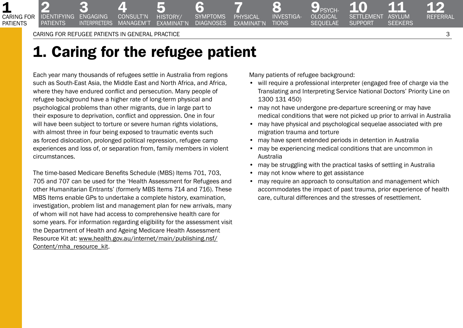3<br>Engaging **INTERPRETERS** 

2<br>IDENTIFYING **PATIENTS** 

<span id="page-2-0"></span>1

caring for **PATIFNTS** 

# 1. Caring for the refugee patient

[4](#page-7-0)  consult'n **MANAGEM'T** 

Each year many thousands of refugees settle in Australia from regions such as South-East Asia, the Middle East and North Africa, and Africa, where they have endured conflict and persecution. Many people of refugee background have a higher rate of long-term physical and psychological problems than other migrants, due in large part to their exposure to deprivation, conflict and oppression. One in four will have been subject to torture or severe human rights violations, with almost three in four being exposed to traumatic events such as forced dislocation, prolonged political repression, refugee camp experiences and loss of, or separation from, family members in violent circumstances.

The time-based Medicare Benefits Schedule (MBS) Items 701, 703, 705 and 707 can be used for the 'Health Assessment for Refugees and other Humanitarian Entrants' (formerly MBS Items 714 and 716). These MBS Items enable GPs to undertake a complete history, examination, investigation, problem list and management plan for new arrivals, many of whom will not have had access to comprehensive health care for some years. For information regarding eligibility for the assessment visit the Department of Health and Ageing Medicare Health Assessment Resource Kit at: [www.health.gov.au/internet/main/publishing.nsf/](http://www.health.gov.au/internet/main/publishing.nsf/Content/mha_resource_kit) [Content/mha\\_resource\\_kit](http://www.health.gov.au/internet/main/publishing.nsf/Content/mha_resource_kit).

Many patients of refugee background:

8 [investiga-](#page-13-0)**TIONS** 

7 physical [examinat'n](#page-11-0)

[6](#page-10-0)  **SYMPTOMS DIAGNOSES** 

5<br>HISTORY/ [examinat'n](#page-9-0)

 $\mathbf{9}_{\scriptscriptstyle{\mathsf{PSYCH}}}$ [ological](#page-16-0)  **SEQUELAE** 

• will require a professional interpreter (engaged free of charge via the Translating and Interpreting Service National Doctors' Priority Line on 1300 131 450)

10<br>SETTLEMENT **SUPPORT** 

- may not have undergone pre-departure screening or may have medical conditions that were not picked up prior to arrival in Australia
- may have physical and psychological sequelae associated with pre migration trauma and torture
- may have spent extended periods in detention in Australia
- may be experiencing medical conditions that are uncommon in Australia
- may be struggling with the practical tasks of settling in Australia
- may not know where to get assistance
- may require an approach to consultation and management which accommodates the impact of past trauma, prior experience of health care, cultural differences and the stresses of resettlement.

[12](#page-21-0)  Referral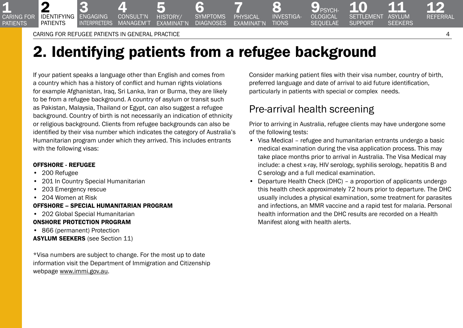3 **ENGAGING** interpreters

<span id="page-3-0"></span>**1**<br>CARING FOR **PATIENTS** 

2

identifying **PATIENTS** 

# 2. Identifying patients from a refugee background

[6](#page-10-0)  **SYMPTOMS DIAGNOSES** 

5<br>HISTORY/ [examinat'n](#page-9-0)

If your patient speaks a language other than English and comes from a country which has a history of conflict and human rights violations for example Afghanistan, Iraq, Sri Lanka, Iran or Burma, they are likely to be from a refugee background. A country of asylum or transit such as Pakistan, Malaysia, Thailand or Egypt, can also suggest a refugee background. Country of birth is not necessarily an indication of ethnicity or religious background. Clients from refugee backgrounds can also be identified by their visa number which indicates the category of Australia's Humanitarian program under which they arrived. This includes entrants with the following visas:

[4](#page-7-0)  consult'n managem't

## Offshore - Refugee

- 200 Refugee
- 201 In Country Special Humanitarian
- 203 Emergency rescue
- 204 Women at Risk

# Offshore – Special Humanitarian Program

• 202 Global Special Humanitarian

# Onshore Protection Program

- 866 (permanent) Protection
- Asylum seekers (see Section 11)

\*Visa numbers are subject to change. For the most up to date information visit the Department of Immigration and Citizenship webpage [www.immi.gov.au.](http://www.immi.gov.au/)

Consider marking patient files with their visa number, country of birth, preferred language and date of arrival to aid future identification, particularly in patients with special or complex needs.

# Pre-arrival health screening

 $\mathbf{9}_{\scriptscriptstyle{\mathsf{PSYCH}}}$ [ological](#page-16-0)  **SEQUELAE** 

8 [investiga-](#page-13-0)**TIONS** 

7 physical [examinat'n](#page-11-0)

> Prior to arriving in Australia, refugee clients may have undergone some of the following tests:

- Visa Medical refugee and humanitarian entrants undergo a basic medical examination during the visa application process. This may take place months prior to arrival in Australia. The Visa Medical may include: a chest x-ray, HIV serology, syphilis serology, hepatitis B and C serology and a full medical examination.
- Departure Health Check (DHC) a proportion of applicants undergo this health check approximately 72 hours prior to departure. The DHC usually includes a physical examination, some treatment for parasites and infections, an MMR vaccine and a rapid test for malaria. Personal health information and the DHC results are recorded on a Health Manifest along with health alerts.

[12](#page-21-0)  Referral

11<br>ASYLUM **SEEKERS**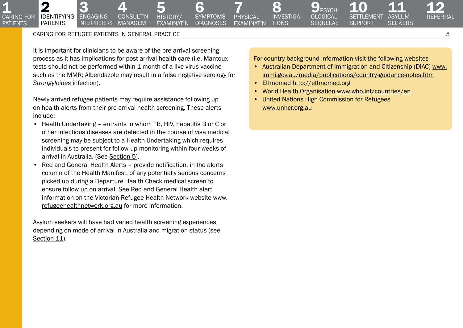3 **ENGAGING INTERPRETERS** 

**1**<br>CARING FOR **PATIENTS** 

2

[identifying](#page-3-0)  **PATIENTS** 

It is important for clinicians to be aware of the pre-arrival screening process as it has implications for post-arrival health care (i.e. Mantoux tests should not be performed within 1 month of a live virus vaccine such as the MMR; Albendazole may result in a false negative serology for *Strongyloides* infection).

[4](#page-7-0)  consult'n managem't

Newly arrived refugee patients may require assistance following up on health alerts from their pre-arrival health screening. These alerts include:

- Health Undertaking entrants in whom TB, HIV, hepatitis B or C or other infectious diseases are detected in the course of visa medical screening may be subject to a Health Undertaking which requires individuals to present for follow-up monitoring within four weeks of arrival in Australia. (See Section 5).
- Red and General Health Alerts provide notification, in the alerts column of the Health Manifest, of any potentially serious concerns picked up during a Departure Health Check medical screen to ensure follow up on arrival. See Red and General Health alert information on the Victorian Refugee Health Network website [www.](http://www.refugeehealthnetwork.org.au) [refugeehealthnetwork.org.au](http://www.refugeehealthnetwork.org.au) for more information.

Asylum seekers will have had varied health screening experiences depending on mode of arrival in Australia and migration status (see Section 11).

For country background information visit the following websites

• Australian Department of Immigration and Citizenship (DIAC) [www.](http://www.immi.gov.au/media/publications/country-guidance-notes.htm) [immi.gov.au/media/publications/country-guidance-notes.htm](http://www.immi.gov.au/media/publications/country-guidance-notes.htm)

10<br>SETTLEMENT **SUPPORT** 

• Ethnomed <http://ethnomed.org>

**8** [investiga-](#page-13-0)**TIONS** 

7 physical [examinat'n](#page-11-0)

[6](#page-10-0)  **SYMPTOMS DIAGNOSES** 

5<br>HISTORY/ [examinat'n](#page-9-0)

- World Health Organisation [www.who.int/countries/en](http://www.who.int/countries/en)
- United Nations High Commission for Refugees [www.unhcr.org.au](http://www.unhcr.org.au)

 $\mathbf{9}_{\tiny{\text{PSYCH}}}$ [ological](#page-16-0)  **SEQUELAE**  [12](#page-21-0)  Referral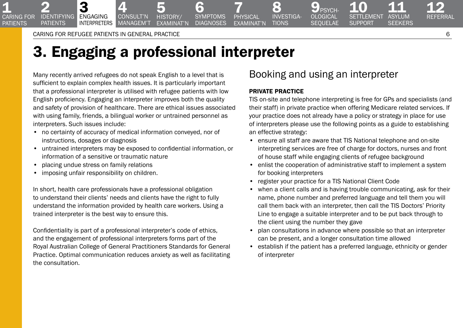2<br>IDENTIFYING **PATIENTS** 

3 **ENGAGING** interpreters

<span id="page-5-0"></span>**1**<br>CARING FOR **PATIFNTS** 

# 3. Engaging a professional interpreter

5<br>HISTORY/ [examinat'n](#page-9-0)

[6](#page-10-0)  **SYMPTOMS DIAGNOSES** 

Many recently arrived refugees do not speak English to a level that is sufficient to explain complex health issues. It is particularly important that a professional interpreter is utilised with refugee patients with low English proficiency. Engaging an interpreter improves both the quality and safety of provision of healthcare. There are ethical issues associated with using family, friends, a bilingual worker or untrained personnel as interpreters. Such issues include:

[4](#page-7-0)  consult'n managem't

- no certainty of accuracy of medical information conveyed, nor of instructions, dosages or diagnosis
- untrained interpreters may be exposed to confidential information, or information of a sensitive or traumatic nature
- placing undue stress on family relations
- imposing unfair responsibility on children.

In short, health care professionals have a professional obligation to understand their clients' needs and clients have the right to fully understand the information provided by health care workers. Using a trained interpreter is the best way to ensure this.

Confidentiality is part of a professional interpreter's code of ethics, and the engagement of professional interpreters forms part of the Royal Australian College of General Practitioners Standards for General Practice. Optimal communication reduces anxiety as well as facilitating the consultation.

# Booking and using an interpreter

 $\mathbf{9}_{\scriptscriptstyle{\mathsf{PSYCH}}}$ [ological](#page-16-0)  **SEQUELAE** 

### Private practice

8 [investiga-](#page-13-0)**TIONS** 

7 physical [examinat'n](#page-11-0)

> TIS on-site and telephone interpreting is free for GPs and specialists (and their staff) in private practice when offering Medicare related services. If your practice does not already have a policy or strategy in place for use of interpreters please use the following points as a guide to establishing an effective strategy:

- ensure all staff are aware that TIS National telephone and on-site interpreting services are free of charge for doctors, nurses and front of house staff while engaging clients of refugee background
- enlist the cooperation of administrative staff to implement a system for booking interpreters
- register your practice for a TIS National Client Code
- when a client calls and is having trouble communicating, ask for their name, phone number and preferred language and tell them you will call them back with an interpreter, then call the TIS Doctors' Priority Line to engage a suitable interpreter and to be put back through to the client using the number they gave
- plan consultations in advance where possible so that an interpreter can be present, and a longer consultation time allowed
- establish if the patient has a preferred language, ethnicity or gender of interpreter

[12](#page-21-0)  Referral

11<br>ASYLUM **SEEKERS**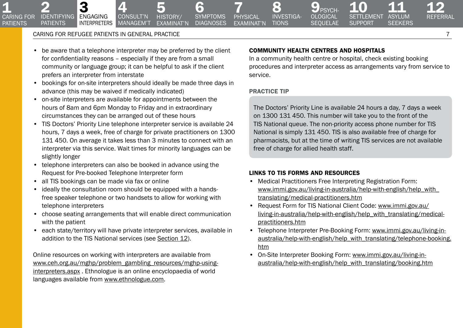3 **ENGAGING** 

2<br>IDENTIFYING **PATIENTS** 

**1**<br>CARING FOR **PATIENTS** 

> • be aware that a telephone interpreter may be preferred by the client for confidentiality reasons – especially if they are from a small community or language group; it can be helpful to ask if the client prefers an interpreter from interstate

[4](#page-7-0)  consult'n managem't

- bookings for on-site interpreters should ideally be made three days in advance (this may be waived if medically indicated)
- on-site interpreters are available for appointments between the hours of 8am and 6pm Monday to Friday and in extraordinary circumstances they can be arranged out of these hours
- TIS Doctors' Priority Line telephone interpreter service is available 24 hours, 7 days a week, free of charge for private practitioners on 1300 131 450. On average it takes less than 3 minutes to connect with an interpreter via this service. Wait times for minority languages can be slightly longer
- telephone interpreters can also be booked in advance using the Request for Pre-booked Telephone Interpreter form
- all TIS bookings can be made via fax or online
- ideally the consultation room should be equipped with a handsfree speaker telephone or two handsets to allow for working with telephone interpreters
- choose seating arrangements that will enable direct communication with the patient
- each state/territory will have private interpreter services, available in addition to the TIS National services (see Section 12).

Online resources on working with interpreters are available from [www.ceh.org.au/mghp/problem\\_gambling\\_resources/mghp-using](http://www.ceh.org.au/mghp/problem_gambling_resources/mghp-using-interpreters.aspx)[interpreters.aspx](http://www.ceh.org.au/mghp/problem_gambling_resources/mghp-using-interpreters.aspx) . Ethnologue is an online encyclopaedia of world languages available from [www.ethnologue.com.](http://www.ethnologue.com/)

## COMMUNITY HEALTH CENTRES AND HOSPITALS

**PSYCH** [ological](#page-16-0)  **SEQUELAE** 

In a community health centre or hospital, check existing booking procedures and interpreter access as arrangements vary from service to service.

10<br>SETTLEMENT **SUPPORT** 

## Practice tip

 $\bullet$ [investiga-](#page-13-0)**TIONS** 

7 physical [examinat'n](#page-11-0)

[6](#page-10-0)  **SYMPTOMS DIAGNOSES** 

5<br>HISTORY/ [examinat'n](#page-9-0)

> The Doctors' Priority Line is available 24 hours a day, 7 days a week on 1300 131 450. This number will take you to the front of the TIS National queue. The non-priority access phone number for TIS National is simply 131 450. TIS is also available free of charge for pharmacists, but at the time of writing TIS services are not available free of charge for allied health staff.

### Links to TIS forms and resources

- Medical Practitioners Free Interpreting Registration Form: [www.immi.gov.au/living-in-australia/help-with-english/help\\_with\\_](http://www.immi.gov.au/living-in-australia/help-with-english/help_with_translating/medical-practitioners.htm) [translating/medical-practitioners.htm](http://www.immi.gov.au/living-in-australia/help-with-english/help_with_translating/medical-practitioners.htm)
- Request Form for TIS National Client Code: [www.immi.gov.au/](http://www.immi.gov.au/living-in-australia/help-with-english/help_with_translating/medical-practitioners.htm) [living-in-australia/help-with-english/help\\_with\\_translating/medical](http://www.immi.gov.au/living-in-australia/help-with-english/help_with_translating/medical-practitioners.htm)[practitioners.htm](http://www.immi.gov.au/living-in-australia/help-with-english/help_with_translating/medical-practitioners.htm)
- Telephone Interpreter Pre-Booking Form: [www.immi.gov.au/living-in](http://www.immi.gov.au/living-in-australia/help-with-english/help_with_translating/telephone-booking.htm)[australia/help-with-english/help\\_with\\_translating/telephone-booking.](http://www.immi.gov.au/living-in-australia/help-with-english/help_with_translating/telephone-booking.htm) [htm](http://www.immi.gov.au/living-in-australia/help-with-english/help_with_translating/telephone-booking.htm)
- On-Site Interpreter Booking Form: [www.immi.gov.au/living-in](http://www.immi.gov.au/living-in-australia/help-with-english/help_with_translating/booking.htm)[australia/help-with-english/help\\_with\\_translating/booking.htm](http://www.immi.gov.au/living-in-australia/help-with-english/help_with_translating/booking.htm)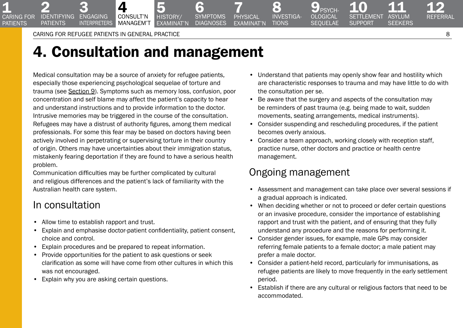Caring for refugee patients in General Practice 8

4 consult'n managem't

3 **ENGAGING INTERPRETERS** 

2<br>IDENTIFYING **PATIENTS** 

<span id="page-7-0"></span>**1**<br>CARING FOR **PATIFNTS** 

# 4. Consultation and management

5 HISTORY/ [examinat'n](#page-9-0)

Medical consultation may be a source of anxiety for refugee patients, especially those experiencing psychological sequelae of torture and trauma (see Section 9). Symptoms such as memory loss, confusion, poor concentration and self blame may affect the patient's capacity to hear and understand instructions and to provide information to the doctor. Intrusive memories may be triggered in the course of the consultation. Refugees may have a distrust of authority figures, among them medical professionals. For some this fear may be based on doctors having been actively involved in perpetrating or supervising torture in their country of origin. Others may have uncertainties about their immigration status, mistakenly fearing deportation if they are found to have a serious health problem.

Communication difficulties may be further complicated by cultural and religious differences and the patient's lack of familiarity with the Australian health care system.

# In consultation

- Allow time to establish rapport and trust.
- Explain and emphasise doctor-patient confidentiality, patient consent, choice and control.
- Explain procedures and be prepared to repeat information.
- Provide opportunities for the patient to ask questions or seek clarification as some will have come from other cultures in which this was not encouraged.
- Explain why you are asking certain questions.

• Understand that patients may openly show fear and hostility which are characteristic responses to trauma and may have little to do with the consultation per se.

10<br>SETTLEMENT **SUPPORT** 

• Be aware that the surgery and aspects of the consultation may be reminders of past trauma (e.g. being made to wait, sudden movements, seating arrangements, medical instruments).

9 PSYCH-<br>OLOGICAL **SEQUELAE** 

8 [investiga-](#page-13-0)**TIONS** 

7 physical [examinat'n](#page-11-0)

[6](#page-10-0)  **SYMPTOMS DIAGNOSES** 

- Consider suspending and rescheduling procedures, if the patient becomes overly anxious.
- Consider a team approach, working closely with reception staff, practice nurse, other doctors and practice or health centre management.

# Ongoing management

- Assessment and management can take place over several sessions if a gradual approach is indicated.
- When deciding whether or not to proceed or defer certain questions or an invasive procedure, consider the importance of establishing rapport and trust with the patient, and of ensuring that they fully understand any procedure and the reasons for performing it.
- Consider gender issues, for example, male GPs may consider referring female patients to a female doctor; a male patient may prefer a male doctor.
- Consider a patient-held record, particularly for immunisations, as refugee patients are likely to move frequently in the early settlement period.
- Establish if there are any cultural or religious factors that need to be accommodated.

[12](#page-21-0)  Referral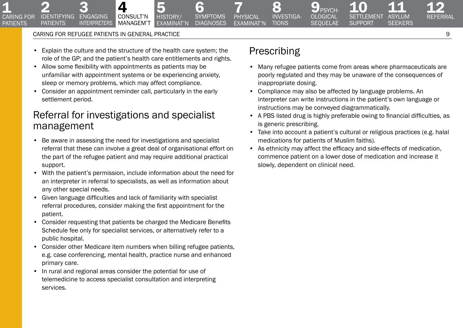3<br>Engaging **INTERPRETERS** 

2<br>IDENTIFYING **PATIENTS** 

**1**<br>CARING FOR **PATIFNTS** 

> • Explain the culture and the structure of the health care system; the role of the GP; and the patient's health care entitlements and rights.

5 history/ [examinat'n](#page-9-0)

• Allow some flexibility with appointments as patients may be unfamiliar with appointment systems or be experiencing anxiety, sleep or memory problems, which may affect compliance.

[4](#page-7-0)  consult'n managem't

• Consider an appointment reminder call, particularly in the early settlement period.

# Referral for investigations and specialist management

- Be aware in assessing the need for investigations and specialist referral that these can involve a great deal of organisational effort on the part of the refugee patient and may require additional practical support.
- With the patient's permission, include information about the need for an interpreter in referral to specialists, as well as information about any other special needs.
- Given language difficulties and lack of familiarity with specialist referral procedures, consider making the first appointment for the patient.
- Consider requesting that patients be charged the Medicare Benefits Schedule fee only for specialist services, or alternatively refer to a public hospital.
- Consider other Medicare item numbers when billing refugee patients, e.g. case conferencing, mental health, practice nurse and enhanced primary care.
- In rural and regional areas consider the potential for use of telemedicine to access specialist consultation and interpreting services.

# Prescribing

7 physical [examinat'n](#page-11-0)

[6](#page-10-0)  **SYMPTOMS DIAGNOSES** 

8 [investiga-](#page-13-0)**TIONS** 

• Many refugee patients come from areas where pharmaceuticals are poorly regulated and they may be unaware of the consequences of inappropriate dosing.

 $\mathbf{9}_{\scriptscriptstyle{\mathsf{PSYCH}}}$ [ological](#page-16-0)  **SEQUELAE** 

10<br>SETTLEMENT **SUPPORT** 

- Compliance may also be affected by language problems. An interpreter can write instructions in the patient's own language or instructions may be conveyed diagrammatically.
- A PBS listed drug is highly preferable owing to financial difficulties, as is generic prescribing.
- Take into account a patient's cultural or religious practices (e.g. halal medications for patients of Muslim faiths).
- As ethnicity may affect the efficacy and side-effects of medication, commence patient on a lower dose of medication and increase it slowly, dependent on clinical need.

[12](#page-21-0)  Referral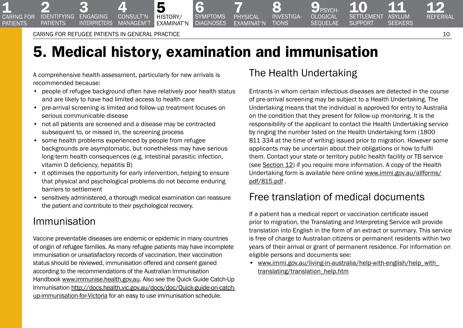Caring for refugee patients in General Practice 10

3<br>Engaging **INTERPRETERS** 

2<br>IDENTIFYING **PATIENTS** 

<span id="page-9-0"></span>**1**<br>CARING FOR **PATIFNTS** 

# 5. Medical history, examination and immunisation

[6](#page-10-0)  **SYMPTOMS DIAGNOSES** 

A comprehensive health assessment, particularly for new arrivals is recommended because:

• people of refugee background often have relatively poor health status and are likely to have had limited access to health care

[4](#page-7-0)  consult'n managem't

5 history/ examinat'n

- pre-arrival screening is limited and follow-up treatment focuses on serious communicable disease
- not all patients are screened and a disease may be contracted subsequent to, or missed in, the screening process
- some health problems experienced by people from refugee backgrounds are asymptomatic, but nonetheless may have serious long-term health consequences (e.g. intestinal parasitic infection, vitamin D deficiency, hepatitis B)
- it optimises the opportunity for early intervention, helping to ensure that physical and psychological problems do not become enduring barriers to settlement
- sensitively administered, a thorough medical examination can reassure the patient and contribute to their psychological recovery.

# Immunisation

Vaccine preventable diseases are endemic or epidemic in many countries of origin of refugee families. As many refugee patients may have incomplete immunisation or unsatisfactory records of vaccination, their vaccination status should be reviewed, immunisation offered and consent gained according to the recommendations of the Australian Immunisation Handbook [www.immunise.health.gov.au.](http://www.immunise.health.gov.au/) Also see the Quick Guide Catch-Up Immunisation [http://docs.health.vic.gov.au/docs/doc/Quick-guide-on-catch](http://docs.health.vic.gov.au/docs/doc/Quick-guide-on-catch-up-immunisation-for-Victoria)[up-immunisation-for-Victoria](http://docs.health.vic.gov.au/docs/doc/Quick-guide-on-catch-up-immunisation-for-Victoria) for an easy to use immunisation schedule.

# The Health Undertaking

8 [investiga-](#page-13-0)**TIONS** 

7 physical [examinat'n](#page-11-0)

**PSYCH** OLOGICAL **SEQUELAE** 

Entrants in whom certain infectious diseases are detected in the course of pre-arrival screening may be subject to a Health Undertaking. The Undertaking means that the individual is approved for entry to Australia on the condition that they present for follow-up monitoring. It is the responsibility of the applicant to contact the Health Undertaking service by ringing the number listed on the Health Undertaking form (1800 811 334 at the time of writing) issued prior to migration. However some applicants may be uncertain about their obligations or how to fulfil them. Contact your state or territory public health facility or TB service (see Section 12) if you require more information. A copy of the Health Undertaking form is available here online [www.immi.gov.au/allforms/](http://www.immi.gov.au/allforms/pdf/815.pdf) [pdf/815.pdf](http://www.immi.gov.au/allforms/pdf/815.pdf) .

# Free translation of medical documents

If a patient has a medical report or vaccination certificate issued prior to migration, the Translating and Interpreting Service will provide translation into English in the form of an extract or summary. This service is free of charge to Australian citizens or permanent residents within two years of their arrival or grant of permanent residence. For information on eligible persons and documents see:

• [www.immi.gov.au/living-in-australia/help-with-english/help\\_with\\_](http://www.immi.gov.au/living-in-australia/help-with-english/help_with_translating/translation_help.htm) [translating/translation\\_help.htm](http://www.immi.gov.au/living-in-australia/help-with-english/help_with_translating/translation_help.htm)

[12](#page-21-0)  Referral

11<br>ASYLUM **SEEKERS**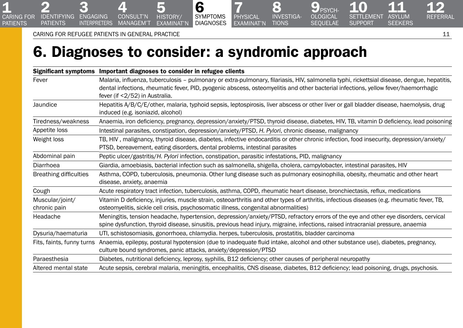interpreters

3 IDENTIFYING ENGAGING

2

<span id="page-10-0"></span>1

[caring for](#page-2-0)  patients

**PATIENTS** 

 $\boldsymbol{A}$ consult'n managem't

# 6. Diagnoses to consider: a syndromic approach

6 **SYMPTOMS DIAGNOSES** 

5 history/ [examinat'n](#page-9-0)

|                                 | Significant symptoms Important diagnoses to consider in refugee clients                                                                                                                                                                                                                                             |
|---------------------------------|---------------------------------------------------------------------------------------------------------------------------------------------------------------------------------------------------------------------------------------------------------------------------------------------------------------------|
| Fever                           | Malaria, influenza, tuberculosis - pulmonary or extra-pulmonary, filariasis, HIV, salmonella typhi, rickettsial disease, dengue, hepatitis,<br>dental infections, rheumatic fever, PID, pyogenic abscess, osteomyelitis and other bacterial infections, yellow fever/haemorrhagic<br>fever (if <2/52) in Australia. |
| Jaundice                        | Hepatitis A/B/C/E/other, malaria, typhoid sepsis, leptospirosis, liver abscess or other liver or gall bladder disease, haemolysis, drug<br>induced (e.g. isoniazid, alcohol)                                                                                                                                        |
| Tiredness/weakness              | Anaemia, iron deficiency, pregnancy, depression/anxiety/PTSD, thyroid disease, diabetes, HIV, TB, vitamin D deficiency, lead poisoning                                                                                                                                                                              |
| Appetite loss                   | Intestinal parasites, constipation, depression/anxiety/PTSD, H. Pylori, chronic disease, malignancy                                                                                                                                                                                                                 |
| Weight loss                     | TB, HIV, malignancy, thyroid disease, diabetes, infective endocarditis or other chronic infection, food insecurity, depression/anxiety/<br>PTSD, bereavement, eating disorders, dental problems, intestinal parasites                                                                                               |
| Abdominal pain                  | Peptic ulcer/gastritis/H. Pylori infection, constipation, parasitic infestations, PID, malignancy                                                                                                                                                                                                                   |
| Diarrhoea                       | Giardia, amoebiasis, bacterial infection such as salmonella, shigella, cholera, campylobacter, intestinal parasites, HIV                                                                                                                                                                                            |
| <b>Breathing difficulties</b>   | Asthma, COPD, tuberculosis, pneumonia. Other lung disease such as pulmonary eosinophilia, obesity, rheumatic and other heart<br>disease, anxiety, anaemia                                                                                                                                                           |
| Cough                           | Acute respiratory tract infection, tuberculosis, asthma, COPD, rheumatic heart disease, bronchiectasis, reflux, medications                                                                                                                                                                                         |
| Muscular/joint/<br>chronic pain | Vitamin D deficiency, injuries, muscle strain, osteoarthritis and other types of arthritis, infectious diseases (e.g. rheumatic fever, TB,<br>osteomyelitis, sickle cell crisis, psychosomatic illness, congenital abnormalities)                                                                                   |
| Headache                        | Meningitis, tension headache, hypertension, depression/anxiety/PTSD, refractory errors of the eye and other eye disorders, cervical<br>spine dysfunction, thyroid disease, sinusitis, previous head injury, migraine, infections, raised intracranial pressure, anaemia                                             |
| Dysuria/haematuria              | UTI, schistosomiasis, gonorrhoea, chlamydia. herpes, tuberculosis, prostatitis, bladder carcinoma                                                                                                                                                                                                                   |
| Fits, faints, funny turns       | Anaemia, epilepsy, postural hypotension (due to inadequate fluid intake, alcohol and other substance use), diabetes, pregnancy,<br>culture bound syndromes, panic attacks, anxiety/depression/PTSD                                                                                                                  |
| Paraesthesia                    | Diabetes, nutritional deficiency, leprosy, syphilis, B12 deficiency; other causes of peripheral neuropathy                                                                                                                                                                                                          |
| Altered mental state            | Acute sepsis, cerebral malaria, meningitis, encephalitis, CNS disease, diabetes, B12 deficiency; lead poisoning, drugs, psychosis.                                                                                                                                                                                  |

7 **PHYSICAL** [examinat'n](#page-11-0)

[12](#page-21-0)  Referral

11<br>ASYLUM **SEEKERS** 

[10](#page-18-0)  **SETTLEMENT SUPPORT** 

**9** PSYCH-**OLOGICAL** sequelae

8 [investiga-](#page-13-0)**TIONS**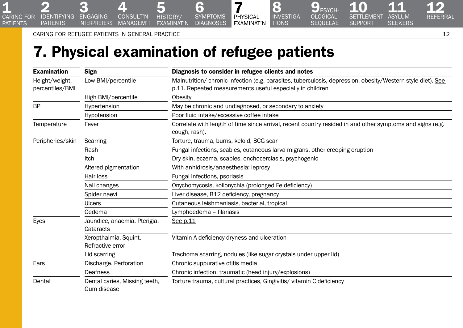Caring for refugee patients in General Practice 12

interpreters

3 2 3<br>IDENTIFYING ENGAGING

**PATIENTS** 

<span id="page-11-0"></span>**1**<br>CARING FOR patients

# 7. Physical examination of refugee patients

5 history/ [examinat'n](#page-9-0)

[4](#page-7-0)  consult'n managem't

[6](#page-10-0)  **SYMPTOMS DIAGNOSES** 

| <b>Examination</b>                                      | Sign                                         | Diagnosis to consider in refugee clients and notes                                                                                                                       |  |  |
|---------------------------------------------------------|----------------------------------------------|--------------------------------------------------------------------------------------------------------------------------------------------------------------------------|--|--|
| Height/weight,<br>Low BMI/percentile<br>percentiles/BMI |                                              | Malnutrition/ chronic infection (e.g. parasites, tuberculosis, depression, obesity/Western-style diet). See<br>p.11. Repeated measurements useful especially in children |  |  |
|                                                         | High BMI/percentile                          | <b>Obesity</b>                                                                                                                                                           |  |  |
| <b>BP</b>                                               | Hypertension                                 | May be chronic and undiagnosed, or secondary to anxiety                                                                                                                  |  |  |
|                                                         | Hypotension                                  | Poor fluid intake/excessive coffee intake                                                                                                                                |  |  |
| Temperature                                             | Fever                                        | Correlate with length of time since arrival, recent country resided in and other symptoms and signs (e.g.<br>cough, rash).                                               |  |  |
| Peripheries/skin                                        | Scarring                                     | Torture, trauma, burns, keloid, BCG scar                                                                                                                                 |  |  |
|                                                         | Rash                                         | Fungal infections, scabies, cutaneous larva migrans, other creeping eruption                                                                                             |  |  |
|                                                         | <b>Itch</b>                                  | Dry skin, eczema, scabies, onchocerciasis, psychogenic                                                                                                                   |  |  |
|                                                         | Altered pigmentation                         | With anhidrosis/anaesthesia: leprosy                                                                                                                                     |  |  |
|                                                         | Hair loss                                    | Fungal infections, psoriasis                                                                                                                                             |  |  |
|                                                         | Nail changes                                 | Onychomycosis, koilonychia (prolonged Fe deficiency)                                                                                                                     |  |  |
|                                                         | Spider naevi                                 | Liver disease, B12 deficiency, pregnancy                                                                                                                                 |  |  |
|                                                         | <b>Ulcers</b>                                | Cutaneous leishmaniasis, bacterial, tropical                                                                                                                             |  |  |
|                                                         | Oedema                                       | Lymphoedema - filariasis                                                                                                                                                 |  |  |
| Eyes                                                    | Jaundice, anaemia. Pterigia.<br>Cataracts    | See p.11                                                                                                                                                                 |  |  |
|                                                         | Xeropthalmia. Squint.<br>Refractive error    | Vitamin A deficiency dryness and ulceration                                                                                                                              |  |  |
|                                                         | Lid scarring                                 | Trachoma scarring, nodules (like sugar crystals under upper lid)                                                                                                         |  |  |
| Ears                                                    | Discharge. Perforation                       | Chronic suppurative otitis media                                                                                                                                         |  |  |
|                                                         | Deafness                                     | Chronic infection, traumatic (head injury/explosions)                                                                                                                    |  |  |
| Dental                                                  | Dental caries, Missing teeth,<br>Gum disease | Torture trauma, cultural practices, Gingivitis/ vitamin C deficiency                                                                                                     |  |  |

[12](#page-21-0)  Referral

11<br>ASYLUM **SEEKERS** 

10<br>SETTLEMENT **SUPPORT** 

 $\mathbf{9}_{\mathsf{PSYCH}}$ **OLOGICAL SEQUELAE** 

8 [investiga-](#page-13-0)**TIONS** 

7 physical examinat'n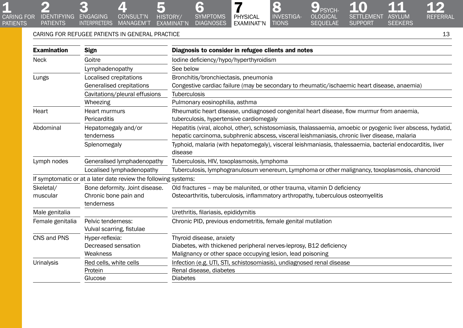Caring for refugee patients in General Practice 13

3

CARING FOR IDENTIFYING ENGAGING

**PATIENTS** 

2

1

**PATIENTS** 

[4](#page-7-0) 

INTERPRETERS MANAGEM'T

consult'n

| <b>Examination</b><br>Sign                     |                                                                 | Diagnosis to consider in refugee clients and notes                                                                                                                                                             |  |
|------------------------------------------------|-----------------------------------------------------------------|----------------------------------------------------------------------------------------------------------------------------------------------------------------------------------------------------------------|--|
| Goitre<br><b>Neck</b>                          |                                                                 | lodine deficiency/hypo/hyperthyroidism                                                                                                                                                                         |  |
|                                                | Lymphadenopathy                                                 | See below                                                                                                                                                                                                      |  |
| Lungs                                          | Localised crepitations                                          | Bronchitis/bronchiectasis, pneumonia                                                                                                                                                                           |  |
|                                                | Generalised crepitations                                        | Congestive cardiac failure (may be secondary to rheumatic/ischaemic heart disease, anaemia)                                                                                                                    |  |
|                                                | Cavitations/pleural effusions                                   | <b>Tuberculosis</b>                                                                                                                                                                                            |  |
|                                                | Wheezing                                                        | Pulmonary eosinophilia, asthma                                                                                                                                                                                 |  |
| Heart                                          | Heart murmurs<br>Pericarditis                                   | Rheumatic heart disease, undiagnosed congenital heart disease, flow murmur from anaemia,<br>tuberculosis, hypertensive cardiomegaly                                                                            |  |
| Abdominal<br>Hepatomegaly and/or<br>tenderness |                                                                 | Hepatitis (viral, alcohol, other), schistosomiasis, thalassaemia, amoebic or pyogenic liver abscess, hydatid,<br>hepatic carcinoma, subphrenic abscess, visceral leishmaniasis, chronic liver disease, malaria |  |
|                                                | Splenomegaly                                                    | Typhoid, malaria (with hepatomegaly), visceral leishmaniasis, thalessaemia, bacterial endocarditis, liver<br>disease                                                                                           |  |
| Generalised lymphadenopathy<br>Lymph nodes     |                                                                 | Tuberculosis, HIV, toxoplasmosis, lymphoma                                                                                                                                                                     |  |
|                                                | Localised lymphadenopathy                                       | Tuberculosis, lymphogranulosum venereum, Lymphoma or other malignancy, toxoplasmosis, chancroid                                                                                                                |  |
|                                                | If symptomatic or at a later date review the following systems: |                                                                                                                                                                                                                |  |
| Skeletal/                                      | Bone deformity. Joint disease.                                  | Old fractures - may be malunited, or other trauma, vitamin D deficiency                                                                                                                                        |  |
| muscular                                       | Chronic bone pain and                                           | Osteoarthritis, tuberculosis, inflammatory arthropathy, tuberculous osteomyelitis                                                                                                                              |  |
|                                                | tenderness                                                      |                                                                                                                                                                                                                |  |
| Male genitalia                                 |                                                                 | Urethritis, filariasis, epididymitis                                                                                                                                                                           |  |
| Female genitalia                               | Pelvic tenderness:                                              | Chronic PID, previous endometritis, female genital mutilation                                                                                                                                                  |  |
|                                                | Vulval scarring, fistulae                                       |                                                                                                                                                                                                                |  |
| CNS and PNS                                    | Hyper-reflexia:                                                 | Thyroid disease, anxiety                                                                                                                                                                                       |  |
|                                                | Decreased sensation                                             | Diabetes, with thickened peripheral nerves-leprosy, B12 deficiency                                                                                                                                             |  |
|                                                | Weakness                                                        | Malignancy or other space occupying lesion, lead poisoning                                                                                                                                                     |  |
| Urinalysis                                     | Red cells, white cells                                          | Infection (e.g. UTI, STI, schistosomiasis), undiagnosed renal disease                                                                                                                                          |  |
|                                                | Protein                                                         | Renal disease, diabetes                                                                                                                                                                                        |  |
|                                                | Glucose                                                         | <b>Diabetes</b>                                                                                                                                                                                                |  |

7 physical [examinat'n](#page-11-0)

[6](#page-10-0)  symptoms **DIAGNOSES** 

5 history/ [examinat'n](#page-9-0)

[12](#page-21-0)  Referral

[11](#page-19-0) 

**SEEKERS** 

SETTLEMENT ASYLUM

[10](#page-18-0) 

 $9_{PSYCH-}$ **OLOGICAL** sequelae

8 [investiga-](#page-13-0)**TIONS** 

**SUPPORT**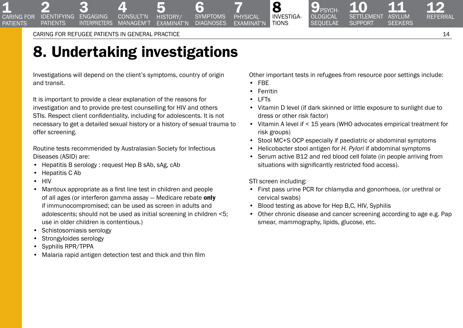3 **ENGAGING INTERPRETERS** 

2<br>IDENTIFYING **PATIENTS** 

<span id="page-13-0"></span>**1**<br>CARING FOR **PATIFNTS** 

# 8. Undertaking investigations

[4](#page-7-0)  consult'n **MANAGEM'T** 

Investigations will depend on the client's symptoms, country of origin and transit.

It is important to provide a clear explanation of the reasons for investigation and to provide pre-test counselling for HIV and others STIs. Respect client confidentiality, including for adolescents. It is not necessary to get a detailed sexual history or a history of sexual trauma to offer screening.

Routine tests recommended by Australasian Society for Infectious Diseases (ASID) are:

- Hepatitis B serology : request Hep B sAb, sAg, cAb
- Hepatitis C Ab
- HIV
- Mantoux appropriate as a first line test in children and people of all ages (or interferon gamma assay - Medicare rebate only if immunocompromised; can be used as screen in adults and adolescents; should not be used as initial screening in children <5; use in older children is contentious.)
- Schistosomiasis serology
- Strongyloides serology
- Syphilis RPR/TPPA
- Malaria rapid antigen detection test and thick and thin film

Other important tests in refugees from resource poor settings include:

9 PSYCH-<br>OLOGICAL **SEQUELAE** 

• FBE

7 physical [examinat'n](#page-11-0)

[6](#page-10-0)  **SYMPTOMS DIAGNOSES** 

5<br>HISTORY/ [examinat'n](#page-9-0)

**Ferritin** 

8 investiga-**TIONS** 

- LFTs
- Vitamin D level (if dark skinned or little exposure to sunlight due to dress or other risk factor)
- Vitamin A level if < 15 years (WHO advocates empirical treatment for risk groups)
- Stool MC+S OCP especially if paediatric or abdominal symptoms
- Helicobacter stool antigen for *H. Pylori* if abdominal symptoms
- Serum active B12 and red blood cell folate (in people arriving from situations with significantly restricted food access).

STI screen including:

- First pass urine PCR for chlamydia and gonorrhoea, (or urethral or cervical swabs)
- Blood testing as above for Hep B,C, HIV, Syphilis
- Other chronic disease and cancer screening according to age e.g. Pap smear, mammography, lipids, glucose, etc.

[12](#page-21-0)  Referral

11<br>ASYLUM **SEEKERS**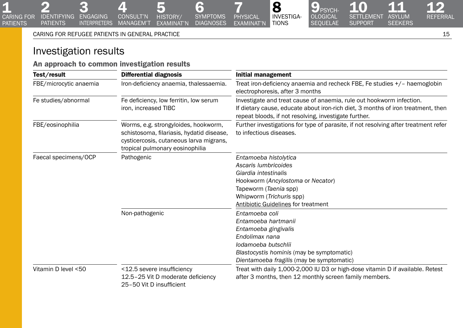[4](#page-7-0)  consult'n

INTERPRETERS MANAGEM'T

# Investigation results

3 IDENTIFYING ENGAGING

2

1

[caring for](#page-2-0)  patients

**PATIENTS** 

An approach to common investigation results

| Test/result                                                                           | Differential diagnosis                                                                                                                                          | Initial management                                                                                                                                                                                                |  |
|---------------------------------------------------------------------------------------|-----------------------------------------------------------------------------------------------------------------------------------------------------------------|-------------------------------------------------------------------------------------------------------------------------------------------------------------------------------------------------------------------|--|
| FBE/microcytic anaemia<br>Iron-deficiency anaemia, thalessaemia.                      |                                                                                                                                                                 | Treat iron-deficiency anaemia and recheck FBE, Fe studies +/- haemoglobin<br>electrophoresis, after 3 months                                                                                                      |  |
| Fe studies/abnormal<br>Fe deficiency, low ferritin, low serum<br>iron, increased TIBC |                                                                                                                                                                 | Investigate and treat cause of anaemia, rule out hookworm infection.<br>If dietary cause, educate about iron-rich diet, 3 months of iron treatment, then<br>repeat bloods, if not resolving, investigate further. |  |
| FBE/eosinophilia                                                                      | Worms, e.g. strongyloides, hookworm,<br>schistosoma, filariasis, hydatid disease,<br>cysticercosis, cutaneous larva migrans,<br>tropical pulmonary eosinophilia | Further investigations for type of parasite, if not resolving after treatment refer<br>to infectious diseases.                                                                                                    |  |
| Faecal specimens/OCP                                                                  | Pathogenic                                                                                                                                                      | Entamoeba histolytica<br>Ascaris lumbricoides<br>Giardia intestinalis<br>Hookworm (Ancylostoma or Necator)<br>Tapeworm (Taenia spp)<br>Whipworm (Trichuris spp)<br>Antibiotic Guidelines for treatment            |  |
|                                                                                       | Non-pathogenic                                                                                                                                                  | Entamoeba coli<br>Entamoeba hartmanii<br>Entamoeba gingivalis<br>Endolimax nana<br>lodamoeba butschlii<br>Blastocystis hominis (may be symptomatic)<br>Dientamoeba fragilis (may be symptomatic)                  |  |
| Vitamin D level <50                                                                   | <12.5 severe insufficiency<br>12.5-25 Vit D moderate deficiency<br>25-50 Vit D insufficient                                                                     | Treat with daily 1,000-2,000 IU D3 or high-dose vitamin D if available. Retest<br>after 3 months, then 12 monthly screen family members.                                                                          |  |

7 **PHYSICAL** [examinat'n](#page-11-0)

8 [investiga-](#page-13-0)**TIONS** 

[6](#page-10-0)  symptoms **DIAGNOSES** 

5 history/ [examinat'n](#page-9-0)

[12](#page-21-0)  **REFERRAL** 

10 11

[10](#page-18-0) 

 $9_{PSYCH-}$ [ological](#page-16-0)  **SEQUELAE** 

**SUPPORT** 

**SEEKERS**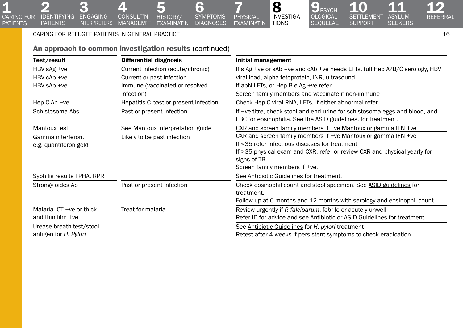3 IDENTIFYING ENGAGING

2

**1**<br>CARING FOR patients

**PATIENTS** 

# An approach to common investigation results (continued)

[4](#page-7-0)  CONSULT'N

INTERPRETERS MANAGEM'T

5 history/ [examinat'n](#page-9-0)

| Test/result                                   | Differential diagnosis                | Initial management                                                                                                                           |  |
|-----------------------------------------------|---------------------------------------|----------------------------------------------------------------------------------------------------------------------------------------------|--|
| HBV sAg +ve                                   | Current infection (acute/chronic)     | If s Ag +ve or sAb -ve and cAb +ve needs LFTs, full Hep A/B/C serology, HBV                                                                  |  |
| HBV cAb +ve                                   | Current or past infection             | viral load, alpha-fetoprotein, INR, ultrasound                                                                                               |  |
| HBV sAb +ve                                   | Immune (vaccinated or resolved        | If abN LFTs, or Hep B e Ag + ve refer                                                                                                        |  |
|                                               | infection)                            | Screen family members and vaccinate if non-immune                                                                                            |  |
| Hep C Ab +ve                                  | Hepatitis C past or present infection | Check Hep C viral RNA, LFTs, If either abnormal refer                                                                                        |  |
| Schistosoma Abs                               | Past or present infection             | If +ve titre, check stool and end urine for schistosoma eggs and blood, and<br>FBC for eosinophilia. See the ASID guidelines, for treatment. |  |
| Mantoux test                                  | See Mantoux interpretation guide      | CXR and screen family members if +ve Mantoux or gamma IFN +ve                                                                                |  |
| Gamma interferon.                             | Likely to be past infection           | CXR and screen family members if +ve Mantoux or gamma IFN +ve                                                                                |  |
| e.g. quantiferon gold                         |                                       | If <35 refer infectious diseases for treatment                                                                                               |  |
|                                               |                                       | If >35 physical exam and CXR, refer or review CXR and physical yearly for                                                                    |  |
|                                               |                                       | signs of TB                                                                                                                                  |  |
|                                               |                                       | Screen family members if +ve.                                                                                                                |  |
| Syphilis results TPHA, RPR                    |                                       | See Antibiotic Guidelines for treatment.                                                                                                     |  |
| Past or present infection<br>Strongyloides Ab |                                       | Check eosinophil count and stool specimen. See ASID guidelines for                                                                           |  |
|                                               |                                       | treatment.                                                                                                                                   |  |
|                                               |                                       | Follow up at 6 months and 12 months with serology and eosinophil count.                                                                      |  |
| Malaria ICT +ve or thick                      | Treat for malaria                     | Review urgently if P. falciparum, febrile or acutely unwell                                                                                  |  |
| and thin film +ve                             |                                       | Refer ID for advice and see Antibiotic or ASID Guidelines for treatment.                                                                     |  |
| Urease breath test/stool                      |                                       | See Antibiotic Guidelines for H. pylori treatment                                                                                            |  |
| antigen for H. Pylori                         |                                       | Retest after 4 weeks if persistent symptoms to check eradication.                                                                            |  |

7 PHYSICAL [examinat'n](#page-11-0)

8 [investiga-](#page-13-0)Tions

[6](#page-10-0)  symptoms **DIAGNOSES** 

[12](#page-21-0)  Referral

[11](#page-19-0) 

**SEEKERS** 

SETTLEMENT ASYLUM

[10](#page-18-0) 

 $9_{PSYCH-}$ **OLOGICAL SEQUELAE** 

**SUPPORT**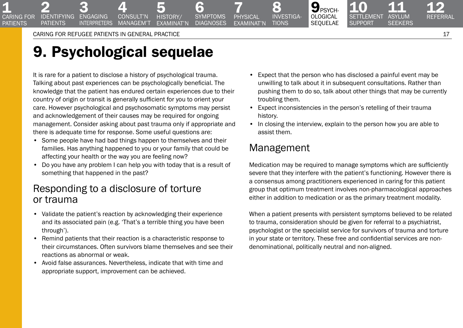3<br>Engaging **INTERPRETERS** 

2<br>IDENTIFYING **PATIENTS** 

<span id="page-16-0"></span>**1**<br>CARING FOR **PATIFNTS** 

# 9. Psychological sequelae

It is rare for a patient to disclose a history of psychological trauma. Talking about past experiences can be psychologically beneficial. The knowledge that the patient has endured certain experiences due to their country of origin or transit is generally sufficient for you to orient your care. However psychological and psychosomatic symptoms may persist and acknowledgement of their causes may be required for ongoing management. Consider asking about past trauma only if appropriate and there is adequate time for response. Some useful questions are:

[4](#page-7-0)  consult'n MANAGEM'T

- Some people have had bad things happen to themselves and their families. Has anything happened to you or your family that could be affecting your health or the way you are feeling now?
- Do you have any problem I can help you with today that is a result of something that happened in the past?

# Responding to a disclosure of torture or trauma

- Validate the patient's reaction by acknowledging their experience and its associated pain (e.g. 'That's a terrible thing you have been through').
- Remind patients that their reaction is a characteristic response to their circumstances. Often survivors blame themselves and see their reactions as abnormal or weak.
- Avoid false assurances. Nevertheless, indicate that with time and appropriate support, improvement can be achieved.
- Expect that the person who has disclosed a painful event may be unwilling to talk about it in subsequent consultations. Rather than pushing them to do so, talk about other things that may be currently troubling them.
- Expect inconsistencies in the person's retelling of their trauma history.

 $9_{PSYCH}$ ological **SEQUELAE** 

• In closing the interview, explain to the person how you are able to assist them.

# Management

8 [investiga-](#page-13-0)**TIONS** 

7 physical [examinat'n](#page-11-0)

[6](#page-10-0)  **SYMPTOMS DIAGNOSES** 

5<br>HISTORY/ [examinat'n](#page-9-0)

> Medication may be required to manage symptoms which are sufficiently severe that they interfere with the patient's functioning. However there is a consensus among practitioners experienced in caring for this patient group that optimum treatment involves non-pharmacological approaches either in addition to medication or as the primary treatment modality.

> When a patient presents with persistent symptoms believed to be related to trauma, consideration should be given for referral to a psychiatrist, psychologist or the specialist service for survivors of trauma and torture in your state or territory. These free and confidential services are nondenominational, politically neutral and non-aligned.

[12](#page-21-0)  Referral

11<br>ASYLUM **SEEKERS**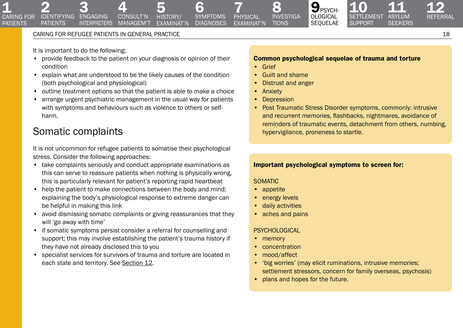**INTERPRETERS** 

It is important to do the following:

2 3<br>IDENTIFYING ENGAGING

**PATIENTS** 

**1**<br>CARING FOR **PATIENTS** 

> • provide feedback to the patient on your diagnosis or opinion of their condition

[4](#page-7-0)  consult'n managem't

- explain what are understood to be the likely causes of the condition (both psychological and physiological)
- outline treatment options so that the patient is able to make a choice
- arrange urgent psychiatric management in the usual way for patients with symptoms and behaviours such as violence to others or selfharm.

# Somatic complaints

It is not uncommon for refugee patients to somatise their psychological stress. Consider the following approaches:

- take complaints seriously and conduct appropriate examinations as this can serve to reassure patients when nothing is physically wrong, this is particularly relevant for patient's reporting rapid heartbeat
- help the patient to make connections between the body and mind; explaining the body's physiological response to extreme danger can be helpful in making this link
- avoid dismissing somatic complaints or giving reassurances that they will 'go away with time'
- if somatic symptoms persist consider a referral for counselling and support; this may involve establishing the patient's trauma history if they have not already disclosed this to you
- specialist services for survivors of trauma and torture are located in each state and territory. See Section 12.

#### Common psychological sequelae of trauma and torture

 $9_{PSYCH}$ [ological](#page-16-0)  sequelae

• Grief

7 physical [examinat'n](#page-11-0)

[6](#page-10-0)  **SYMPTOMS DIAGNOSES** 

5<br>HISTORY/ [examinat'n](#page-9-0)

• Guilt and shame

e) [investiga-](#page-13-0)**TIONS** 

- Distrust and anger
- Anxiety
- Depression
- Post Traumatic Stress Disorder symptoms, commonly: intrusive and recurrent memories, flashbacks, nightmares, avoidance of reminders of traumatic events, detachment from others, numbing, hypervigilance, proneness to startle.

# Important psychological symptoms to screen for:

### SOMATIC

- appetite
- energy levels
- daily activities
- aches and pains

### **PSYCHOLOGICAL**

- memory
- concentration
- mood/affect
- 'big worries' (may elicit ruminations, intrusive memories; settlement stressors, concern for family overseas, psychosis)
- plans and hopes for the future.

[12](#page-21-0)  Referral

11<br>ASYLUM **SEEKERS**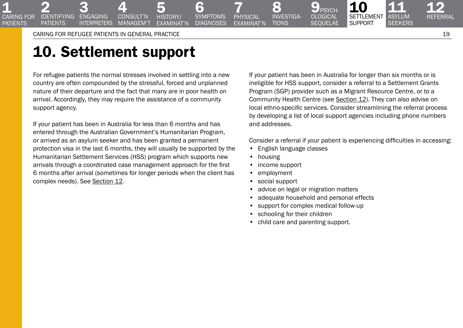3 **ENGAGING INTERPRETERS** 

2<br>IDENTIFYING **PATIENTS** 

<span id="page-18-0"></span>**1**<br>CARING FOR **PATIFNTS** 

# 10. Settlement support

For refugee patients the normal stresses involved in settling into a new country are often compounded by the stressful, forced and unplanned nature of their departure and the fact that many are in poor health on arrival. Accordingly, they may require the assistance of a community support agency.

[4](#page-7-0)  consult'n **MANAGEM'T** 

If your patient has been in Australia for less than 6 months and has entered through the Australian Government's Humanitarian Program, or arrived as an asylum seeker and has been granted a permanent protection visa in the last 6 months, they will usually be supported by the Humanitarian Settlement Services (HSS) program which supports new arrivals through a coordinated case management approach for the first 6 months after arrival (sometimes for longer periods when the client has complex needs). See Section 12.

If your patient has been in Australia for longer than six months or is ineligible for HSS support, consider a referral to a Settlement Grants Program (SGP) provider such as a Migrant Resource Centre, or to a Community Health Centre (see Section 12). They can also advise on local ethno-specific services. Consider streamlining the referral process by developing a list of local support agencies including phone numbers and addresses.

 $\mathbf{9}_{\scriptscriptstyle{\mathsf{PSVCH}}}$ [ological](#page-16-0)  **SEQUELAE** 

Consider a referral if your patient is experiencing difficulties in accessing:

- English language classes
- housing
- income support

8 [investiga-](#page-13-0)**TIONS** 

7 physical [examinat'n](#page-11-0)

[6](#page-10-0)  **SYMPTOMS DIAGNOSES** 

5<br>HISTORY/ [examinat'n](#page-9-0)

- employment
- social support
- advice on legal or migration matters
- adequate household and personal effects
- support for complex medical follow-up
- schooling for their children
- child care and parenting support.

[12](#page-21-0)  Referral

11<br>ASYLUM **SEEKERS**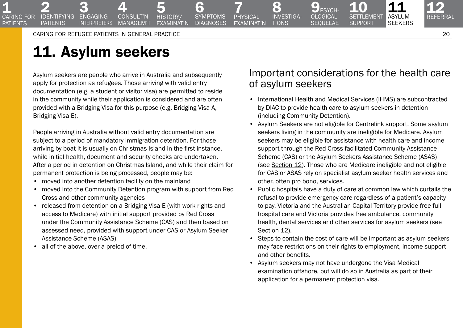3 **ENGAGING INTERPRETERS** 

2<br>IDENTIFYING **PATIENTS** 

<span id="page-19-0"></span>**1**<br>CARING FOR **PATIFNTS** 

# 11. Asylum seekers

Asylum seekers are people who arrive in Australia and subsequently apply for protection as refugees. Those arriving with valid entry documentation (e.g. a student or visitor visa) are permitted to reside in the community while their application is considered and are often provided with a Bridging Visa for this purpose (e.g. Bridging Visa A, Bridging Visa E).

[4](#page-7-0)  consult'n **MANAGEM'T** 

People arriving in Australia without valid entry documentation are subject to a period of mandatory immigration detention. For those arriving by boat it is usually on Christmas Island in the first instance, while initial health, document and security checks are undertaken. After a period in detention on Christmas Island, and while their claim for permanent protection is being processed, people may be:

- moved into another detention facility on the mainland
- moved into the Community Detention program with support from Red Cross and other community agencies
- released from detention on a Bridging Visa E (with work rights and access to Medicare) with initial support provided by Red Cross under the Community Assistance Scheme (CAS) and then based on assessed need, provided with support under CAS or Asylum Seeker Assistance Scheme (ASAS)
- all of the above, over a preiod of time.

# Important considerations for the health care of asylum seekers

 $\mathbf{9}_{\scriptscriptstyle{\mathsf{PSYCH}}}$ [ological](#page-16-0)  **SEQUELAE** 

8 [investiga-](#page-13-0)**TIONS** 

7 physical [examinat'n](#page-11-0)

[6](#page-10-0)  **SYMPTOMS DIAGNOSES** 

5<br>HISTORY/ [examinat'n](#page-9-0)

10<br>SETTLEMENT **SUPPORT** 

11<br>Asylum **SEEKERS** 

- International Health and Medical Services (IHMS) are subcontracted by DIAC to provide health care to asylum seekers in detention (including Community Detention).
- Asylum Seekers are not eligible for Centrelink support. Some asylum seekers living in the community are ineligible for Medicare. Asylum seekers may be eligible for assistance with health care and income support through the Red Cross facilitated Community Assistance Scheme (CAS) or the Asylum Seekers Assistance Scheme (ASAS) (see Section 12). Those who are Medicare ineligible and not eligible for CAS or ASAS rely on specialist asylum seeker health services and other, often pro bono, services.
- Public hospitals have a duty of care at common law which curtails the refusal to provide emergency care regardless of a patient's capacity to pay. Victoria and the Australian Capital Territory provide free full hospital care and Victoria provides free ambulance, community health, dental services and other services for asylum seekers (see Section 12).
- Steps to contain the cost of care will be important as asylum seekers may face restrictions on their rights to employment, income support and other benefits.
- Asylum seekers may not have undergone the Visa Medical examination offshore, but will do so in Australia as part of their application for a permanent protection visa.

[12](#page-21-0)  Referral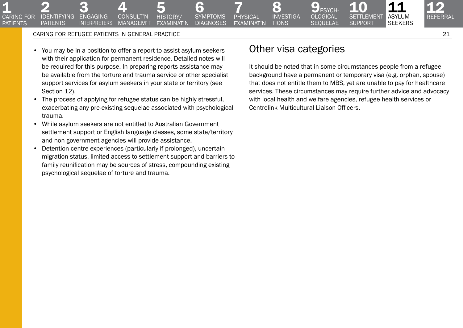3<br>Engaging **INTERPRETERS** 

2<br>IDENTIFYING **PATIENTS** 

**1**<br>CARING FOR **PATIENTS** 

> • You may be in a position to offer a report to assist asylum seekers with their application for permanent residence. Detailed notes will be required for this purpose. In preparing reports assistance may be available from the torture and trauma service or other specialist support services for asylum seekers in your state or territory (see Section 12).

[4](#page-7-0)  consult'n managem't

- The process of applying for refugee status can be highly stressful, exacerbating any pre-existing sequelae associated with psychological trauma.
- While asylum seekers are not entitled to Australian Government settlement support or English language classes, some state/territory and non-government agencies will provide assistance.
- Detention centre experiences (particularly if prolonged), uncertain migration status, limited access to settlement support and barriers to family reunification may be sources of stress, compounding existing psychological sequelae of torture and trauma.

# Other visa categories

8 [investiga-](#page-13-0)**TIONS** 

7 physical [examinat'n](#page-11-0)

[6](#page-10-0)  **SYMPTOMS DIAGNOSES** 

5<br>HISTORY/ [examinat'n](#page-9-0)

 $\mathbf{9}_{\scriptscriptstyle{\mathsf{PSYCH}}}$ [ological](#page-16-0)  **SEQUELAE** 

It should be noted that in some circumstances people from a refugee background have a permanent or temporary visa (e.g. orphan, spouse) that does not entitle them to MBS, yet are unable to pay for healthcare services. These circumstances may require further advice and advocacy with local health and welfare agencies, refugee health services or Centrelink Multicultural Liaison Officers.

10<br>SETTLEMENT support

11<br>Asylum **SEEKERS**  [12](#page-21-0)  Referral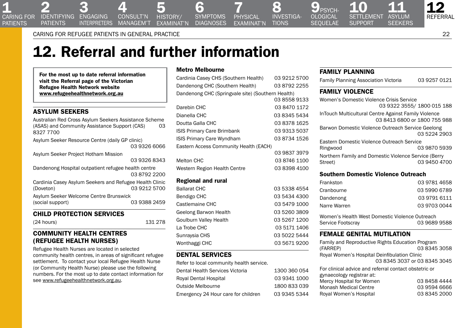<span id="page-21-0"></span>2 3<br>IDENTIFYING ENGAGING **PATIENTS** 

[4](#page-7-0)  consult'n managem't **INTERPRETERS** 

**DIAGNOSES** 5<br>HISTORY/ [examinat'n](#page-9-0)

[investiga-](#page-13-0)**TIONS** 7 physical [examinat'n](#page-11-0)

8

 $\mathbf{9}_{\scriptscriptstyle{\mathsf{PSVCH}}}$ [ological](#page-16-0)  **SEQUELAE** 

11<br>ASYLUM **SEEKERS** 10<br>SETTLEMENT **SUPPORT** 

12 Referral

Caring for refugee patients in General Practice 22

# 12. Referral and further information

For the most up to date referral information visit the Referral page of the Victorian Refugee Health Network website [www.refugeehealthnetwork.org.au](http://www.refugeehealthnetwork.org.au)

## Asylum seekers

Australian Red Cross Asylum Seekers Assistance Scheme<br>(ASAS) and Community Assistance Support (CAS) (ASAS) and Community Assistance Support (CAS) 8327 7700

Asylum Seeker Resource Centre (daily GP clinic)

03 9326 6066

Asylum Seeker Project Hotham Mission

|                                                         | <u>uu uuzu uu<del>t</del>u</u> |
|---------------------------------------------------------|--------------------------------|
| Dandenong Hospital outpatient refugee health centre     |                                |
|                                                         | 0387922200                     |
| Cardinia Casey Asylum Seekers and Refugee Health Clinic |                                |
| (Doveton)                                               | 03 9212 5700                   |
| Asylum Seeker Welcome Centre Brunswick                  |                                |
| (social support)                                        | 03 9388 2459                   |
|                                                         |                                |

## Child protection services

(24 hours) 131 278

03 9326 8343

### Community health centres (refugee health nurses)

Refugee Health Nurses are located in selected community health centres, in areas of significant refugee settlement. To contact your local Refugee Health Nurse (or Community Health Nurse) please use the following numbers. For the most up to date contact information for see [www.refugeehealthnetwork.org.au](http://www.refugeehealthnetwork.org.au).

#### Metro Melbourne

[6](#page-10-0)  symptoms

| Cardinia Casey CHS (Southern Health)              | 03 9212 5700 |
|---------------------------------------------------|--------------|
| Dandenong CHC (Southern Health)                   | 03 8792 2255 |
| Dandenong CHC (Springvale site) (Southern Health) |              |
|                                                   | 03 8558 9133 |
| Darebin CHC                                       | 03 8470 1172 |
| Dianella CHC                                      | 03 8345 5434 |
| Doutta Galla CHC                                  | 03 8378 1625 |
| <b>ISIS Primary Care Brimbank</b>                 | 03 9313 5037 |
| ISIS Primary Care Wyndham                         | 03 8734 1526 |
| Eastern Access Community Health (EACH)            |              |
|                                                   | 03 9837 3979 |
| <b>Melton CHC</b>                                 | 03 8746 1100 |
| Western Region Health Centre                      | 03 8398 4100 |
| <b>Regional and rural</b>                         |              |
| <b>Ballarat CHC</b>                               | 03 5338 4554 |
| Bendigo CHC                                       | 03 5434 4300 |
| Castlemaine CHC                                   | 03 5479 1000 |
| Geelong Barwon Health                             | 03 5260 3809 |
| Goulburn Valley Health                            | 03 5267 1200 |
| La Trobe CHC                                      | 03 5171 1406 |
| Sunraysia CHS                                     | 03 5022 5444 |
| Wonthaggi CHC                                     | 03 5671 9200 |
|                                                   |              |

# Dental services

Refer to local community health service.

| Dental Health Services Victoria     | 1300 360 054 |
|-------------------------------------|--------------|
| Royal Dental Hospital               | 03 9341 1000 |
| Outside Melbourne                   | 1800 833 039 |
| Emergency 24 Hour care for children | 03 9345 5344 |

### Family planning

| Family Planning Association Victoria | 03 9257 0121 |
|--------------------------------------|--------------|
|                                      |              |

## Family violence

| Women's Domestic Violence Crisis Service<br>03 9322 3555/1800 015 188                |              |
|--------------------------------------------------------------------------------------|--------------|
| InTouch Multicultural Centre Against Family Violence<br>03 8413 6800 or 1800 755 988 |              |
| Barwon Domestic Violence Outreach Service Geelong                                    | 03 5224 2903 |
| Eastern Domestic Violence Outreach Service                                           |              |
| Ringwood                                                                             | 03 9870 5939 |
| Northern Family and Domestic Violence Service (Berry<br>Street)                      | 03 9450 4700 |

#### Southern Domestic Violence Outreach

| Frankston                                      | 03 9781 4658 |
|------------------------------------------------|--------------|
| Cranbourne                                     | 03 5990 6789 |
| Dandenong                                      | 03 9791 6111 |
| Narre Warren                                   | 03 9703 0044 |
| Women's Health West Domestic Violence Outreach |              |
| Service Footscray                              | 03 9689 9588 |

#### Female genital mutilation

| Family and Reproductive Rights Education Program<br>(FARREP)                       | 03 8345 3058                 |
|------------------------------------------------------------------------------------|------------------------------|
| Royal Women's Hospital Deinfibulation Clinic                                       |                              |
|                                                                                    | 03 8345 3037 or 03 8345 3045 |
| For clinical advice and referral contact obstetric or<br>gynaecology registrar at: |                              |
| Mercy Hospital for Women                                                           | 03 8458 4444                 |
| <b>Monash Medical Centre</b>                                                       | 03 9594 6666                 |
| Royal Women's Hospital                                                             | 03 8345 2000                 |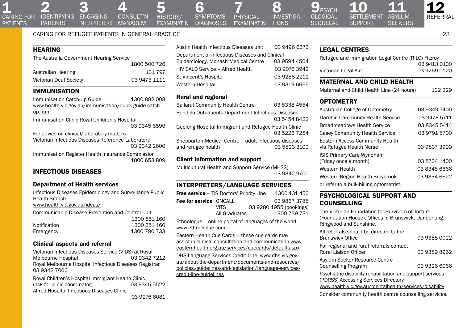2 3<br>IDENTIFYING ENGAGING **INTERPRETERS PATIENTS** 

5<br>HISTORY/ [examinat'n](#page-9-0) [4](#page-7-0)  consult'n managem't

symptoms **DIAGNOSES** 

[6](#page-10-0) 

8 **TIONS** 7 physical [examinat'n](#page-11-0)

 $\mathbf{9}_{\scriptscriptstyle{\mathsf{PSVCH}}}$ [ological](#page-16-0)  **SEQUELAE** [investiga-](#page-13-0)

10<br>SETTLEMENT **SUPPORT** 

[12](#page-21-0)  Referral

## Caring for refugee patients in General Practice 23

# **HEARING**

| The Australia Government Hearing Service |              |
|------------------------------------------|--------------|
|                                          | 1800 500 726 |
| Australian Hearing                       | 131 797      |
| Victorian Deaf Society                   | 03 9473 1111 |

## **IMMUNISATION**

Immunisation Catch-Up Guide 1300 882 008 [www.health.vic.gov.au/immunisation/quick-guide-catch](http://www.health.vic.gov.au/immunisation/quick-guide-catch-up.htm)[up.htm](http://www.health.vic.gov.au/immunisation/quick-guide-catch-up.htm) Immunisation Clinic Royal Children's Hospital 03 9345 6599 For advice on clinical/laboratory matters Victorian Infectious Diseases Reference Laboratory 03 9342 2600 Immunisation Register Health Insurance Commission

1800 653 809

# Infectious diseases

#### Department of Health services

Infectious Diseases Epidemiology and Surveillance Public Health Branch [www.health.vic.gov.au/ideas/](http://www.health.vic.gov.au/ideas/)

Communicable Disease Prevention and Control Unit 1300 651 160

|              | ---------    |
|--------------|--------------|
| Notification | 1300 651 160 |
| Emergency    | 1300 790 733 |

#### Clinical aspects and referral

Victorian Infectious Diseases Service (VIDS) at Royal Melbourne Hospital Royal Melbourne Hospital Infectious Diseases Registrar 03 9342 7000

Royal Children's Hospital Immigrant Health Clinic (ask for clinic coordinator) 03 9345 5522 Alfred Hospital Infectious Diseases Clinic

| Austin Health Infectious Diseases unit         | 03 9496 6676 |
|------------------------------------------------|--------------|
| Department of Infectious Diseases and Clinical |              |
| Epidemiology, Monash Medical Centre            | 03 9594 4564 |
| HIV CALD Service - Alfred Health               | 03 9076 3942 |
| St Vincent's Hospital                          | 03 9288 2211 |
| Western Hospital                               | 03 9319 6666 |

#### Rural and regional

| <b>Ballarat Community Health Centre</b>                                     | 03 5338 4554 |
|-----------------------------------------------------------------------------|--------------|
| Bendigo Outpatients Department Infectious Diseases                          | 03 5454 8422 |
| Geelong Hospital Immigrant and Refugee Health Clinic                        | 03 5226 7254 |
| Shepparton Medical Centre - adult infectious diseases<br>and refugee health | 03 5823 3100 |

#### Client information and support

Multicultural Health and Support Service (MHSS) 03 9342 9700

#### Interpreters/language services

| <b>Free service</b> - TIS Doctors' Priority Line        |               |  | 1300 131 450            |
|---------------------------------------------------------|---------------|--|-------------------------|
| Fee for service ONCALL                                  |               |  | 03 9867 3788            |
|                                                         | VITS.         |  | 03 9280 1955 (bookings) |
|                                                         | All Graduates |  | 1300 739 731            |
| $F$ thnologue – online portal of languages of the world |               |  |                         |

Ethnologue – online portal of languages of the world [www.ethnologue.com](http://www.ethnologue.com/)

Eastern Health Cue Cards – these cue cards may assist in clinical consultation and communication [www.](http://www.easternhealth.org.au/services/cuecards/default.aspx) [easternhealth.org.au/services/cuecards/default.aspx](http://www.easternhealth.org.au/services/cuecards/default.aspx)

DHS Language Services Credit Line www.dhs.vic.gov. au/about-the-department/documents-and-resources/ policies,-guidelines-and-legislation/language-servicescredit-line-guidelines

### Legal centres

| Refugee and Immigration Legal Centre (RILC) Fitzroy |              |
|-----------------------------------------------------|--------------|
|                                                     | 03 9413 0100 |
| Victorian Legal Aid                                 | 03 9269 0120 |

11<br>ASYLUM **SEEKERS** 

### Maternal and child health

Maternal and Child Health Line (24 hours) 132 229

### **OPTOMETRY**

| Australian College of Optometry                             | 03 9349 7400 |
|-------------------------------------------------------------|--------------|
| Darebin Community Health Service                            | 03 9478 5711 |
| <b>Broadmeadows Health Service</b>                          | 03 8345 5414 |
| Casey Community Health Service                              | 03 9791 5700 |
| Eastern Access Community Health<br>via Refugee Health Nurse | 03 9837 3999 |
| <b>ISIS Primary Care Wyndham</b>                            |              |
| (Friday once a month)                                       | 03 8734 1400 |
| Western Health                                              | 03 8345 6666 |
| Western Region Health Braybrook                             | 03 9334 6622 |
| or refer to a bulk-billing optometrist.                     |              |

### Psychological support and counselling

The Victorian Foundation for Survivors of Torture (Foundation House). Offices in Brunswick, Dandenong, Ringwood and Sunshine.

| All referrals should be directed to the<br><b>Brunswick Office</b>                                 | 03 9388 0022 |
|----------------------------------------------------------------------------------------------------|--------------|
| For regional and rural referrals contact<br>Rural Liaison Officer                                  | 03 9389 8962 |
| Asylum Seeker Resource Centre<br><b>Counselling Program</b>                                        | 03 9326 6066 |
| Psychiatric disability rehabilitation and support services<br>(PDRSS) Accessing Services Directory |              |
| www.health.vic.gov.au/mentalhealth/services/disability                                             |              |

Consider community health centre counselling services.